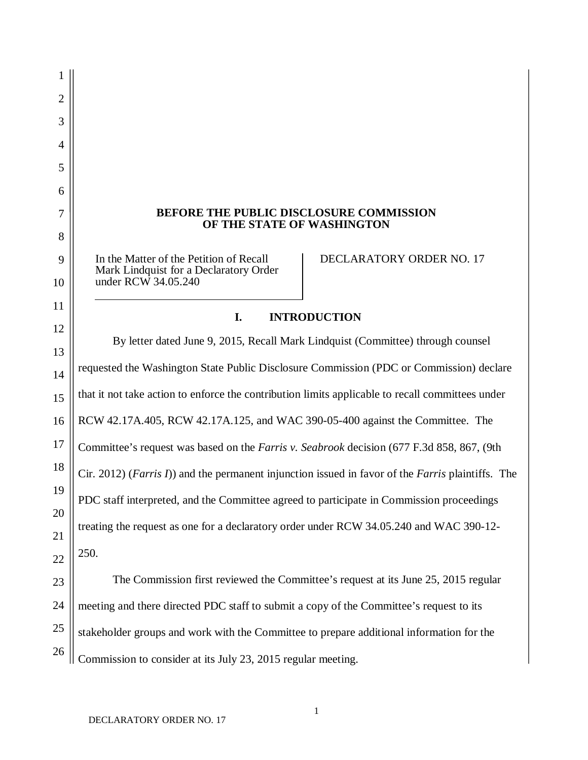# **BEFORE THE PUBLIC DISCLOSURE COMMISSION OF THE STATE OF WASHINGTON**

In the Matter of the Petition of Recall Mark Lindquist for a Declaratory Order under RCW 34.05.240

1

2

3

4

5

6

7

8

9

10

11

12

DECLARATORY ORDER NO. 17

# **I. INTRODUCTION**

13 14 15 16 17 18 19 20 21 22 By letter dated June 9, 2015, Recall Mark Lindquist (Committee) through counsel requested the Washington State Public Disclosure Commission (PDC or Commission) declare that it not take action to enforce the contribution limits applicable to recall committees under RCW 42.17A.405, RCW 42.17A.125, and WAC 390-05-400 against the Committee. The Committee's request was based on the *Farris v. Seabrook* decision (677 F.3d 858, 867, (9th Cir. 2012) (*Farris I*)) and the permanent injunction issued in favor of the *Farris* plaintiffs. The PDC staff interpreted, and the Committee agreed to participate in Commission proceedings treating the request as one for a declaratory order under RCW 34.05.240 and WAC 390-12- 250.

23 24 25 26 The Commission first reviewed the Committee's request at its June 25, 2015 regular meeting and there directed PDC staff to submit a copy of the Committee's request to its stakeholder groups and work with the Committee to prepare additional information for the Commission to consider at its July 23, 2015 regular meeting.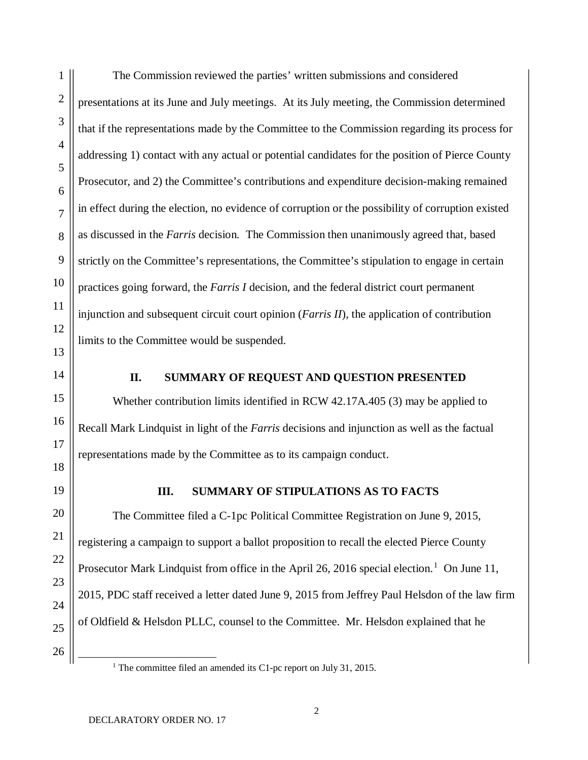The Commission reviewed the parties' written submissions and considered presentations at its June and July meetings. At its July meeting, the Commission determined that if the representations made by the Committee to the Commission regarding its process for addressing 1) contact with any actual or potential candidates for the position of Pierce County Prosecutor, and 2) the Committee's contributions and expenditure decision-making remained in effect during the election, no evidence of corruption or the possibility of corruption existed as discussed in the *Farris* decision*.* The Commission then unanimously agreed that, based strictly on the Committee's representations, the Committee's stipulation to engage in certain practices going forward, the *Farris I* decision, and the federal district court permanent injunction and subsequent circuit court opinion (*Farris II*), the application of contribution limits to the Committee would be suspended.

#### **II. SUMMARY OF REQUEST AND QUESTION PRESENTED**

Whether contribution limits identified in RCW 42.17A.405 (3) may be applied to Recall Mark Lindquist in light of the *Farris* decisions and injunction as well as the factual representations made by the Committee as to its campaign conduct.

# **III. SUMMARY OF STIPULATIONS AS TO FACTS**

The Committee filed a C-1pc Political Committee Registration on June 9, 2015, registering a campaign to support a ballot proposition to recall the elected Pierce County Prosecutor Mark Lindquist from office in the April 26, 20[1](#page-1-0)6 special election.<sup>1</sup> On June 11, 2015, PDC staff received a letter dated June 9, 2015 from Jeffrey Paul Helsdon of the law firm of Oldfield & Helsdon PLLC, counsel to the Committee. Mr. Helsdon explained that he

<span id="page-1-0"></span><sup>&</sup>lt;sup>1</sup> The committee filed an amended its C1-pc report on July 31, 2015.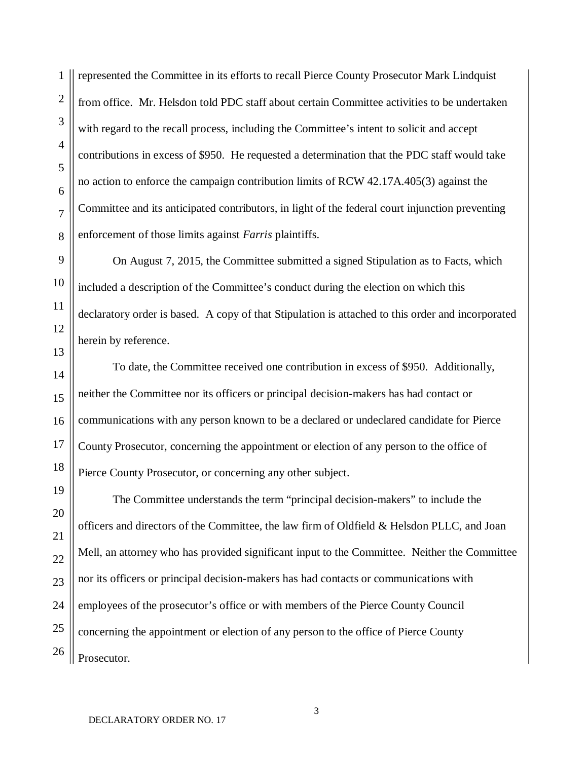represented the Committee in its efforts to recall Pierce County Prosecutor Mark Lindquist from office. Mr. Helsdon told PDC staff about certain Committee activities to be undertaken with regard to the recall process, including the Committee's intent to solicit and accept contributions in excess of \$950. He requested a determination that the PDC staff would take no action to enforce the campaign contribution limits of RCW 42.17A.405(3) against the Committee and its anticipated contributors, in light of the federal court injunction preventing enforcement of those limits against *Farris* plaintiffs.

On August 7, 2015, the Committee submitted a signed Stipulation as to Facts, which included a description of the Committee's conduct during the election on which this declaratory order is based. A copy of that Stipulation is attached to this order and incorporated herein by reference.

To date, the Committee received one contribution in excess of \$950. Additionally, neither the Committee nor its officers or principal decision-makers has had contact or communications with any person known to be a declared or undeclared candidate for Pierce County Prosecutor, concerning the appointment or election of any person to the office of Pierce County Prosecutor, or concerning any other subject.

The Committee understands the term "principal decision-makers" to include the officers and directors of the Committee, the law firm of Oldfield & Helsdon PLLC, and Joan Mell, an attorney who has provided significant input to the Committee. Neither the Committee nor its officers or principal decision-makers has had contacts or communications with employees of the prosecutor's office or with members of the Pierce County Council concerning the appointment or election of any person to the office of Pierce County Prosecutor.

1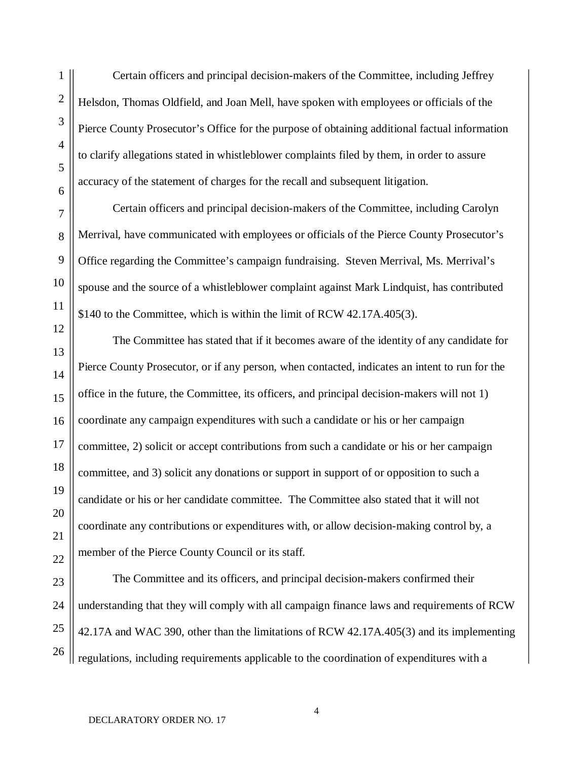Certain officers and principal decision-makers of the Committee, including Jeffrey Helsdon, Thomas Oldfield, and Joan Mell, have spoken with employees or officials of the Pierce County Prosecutor's Office for the purpose of obtaining additional factual information to clarify allegations stated in whistleblower complaints filed by them, in order to assure accuracy of the statement of charges for the recall and subsequent litigation.

Certain officers and principal decision-makers of the Committee, including Carolyn Merrival, have communicated with employees or officials of the Pierce County Prosecutor's Office regarding the Committee's campaign fundraising. Steven Merrival, Ms. Merrival's spouse and the source of a whistleblower complaint against Mark Lindquist, has contributed \$140 to the Committee, which is within the limit of RCW 42.17A.405(3).

The Committee has stated that if it becomes aware of the identity of any candidate for Pierce County Prosecutor, or if any person, when contacted, indicates an intent to run for the office in the future, the Committee, its officers, and principal decision-makers will not 1) coordinate any campaign expenditures with such a candidate or his or her campaign committee, 2) solicit or accept contributions from such a candidate or his or her campaign committee, and 3) solicit any donations or support in support of or opposition to such a candidate or his or her candidate committee. The Committee also stated that it will not coordinate any contributions or expenditures with, or allow decision-making control by, a member of the Pierce County Council or its staff.

The Committee and its officers, and principal decision-makers confirmed their understanding that they will comply with all campaign finance laws and requirements of RCW 42.17A and WAC 390, other than the limitations of RCW 42.17A.405(3) and its implementing regulations, including requirements applicable to the coordination of expenditures with a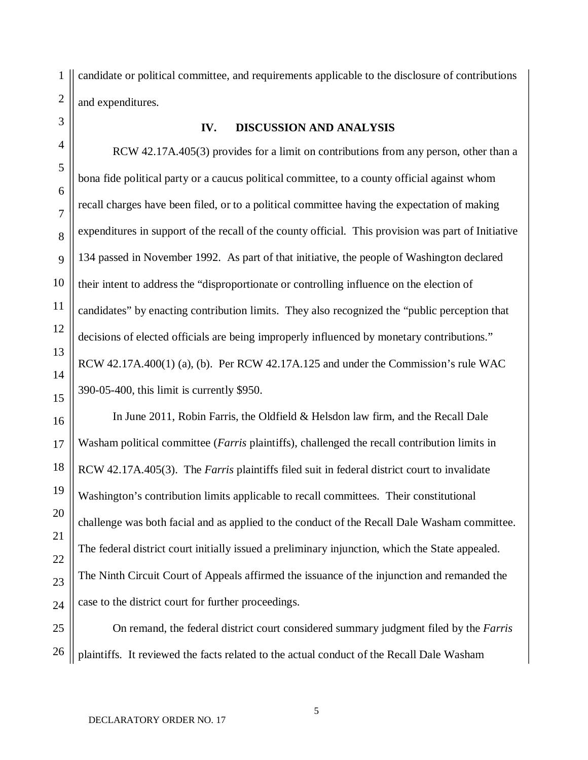candidate or political committee, and requirements applicable to the disclosure of contributions and expenditures.

# **IV. DISCUSSION AND ANALYSIS**

RCW 42.17A.405(3) provides for a limit on contributions from any person, other than a bona fide political party or a caucus political committee, to a county official against whom recall charges have been filed, or to a political committee having the expectation of making expenditures in support of the recall of the county official. This provision was part of Initiative 134 passed in November 1992. As part of that initiative, the people of Washington declared their intent to address the "disproportionate or controlling influence on the election of candidates" by enacting contribution limits. They also recognized the "public perception that decisions of elected officials are being improperly influenced by monetary contributions." RCW 42.17A.400(1) (a), (b). Per RCW 42.17A.125 and under the Commission's rule WAC 390-05-400, this limit is currently \$950.

In June 2011, Robin Farris, the Oldfield & Helsdon law firm, and the Recall Dale Washam political committee (*Farris* plaintiffs), challenged the recall contribution limits in RCW 42.17A.405(3). The *Farris* plaintiffs filed suit in federal district court to invalidate Washington's contribution limits applicable to recall committees. Their constitutional challenge was both facial and as applied to the conduct of the Recall Dale Washam committee. The federal district court initially issued a preliminary injunction, which the State appealed. The Ninth Circuit Court of Appeals affirmed the issuance of the injunction and remanded the case to the district court for further proceedings.

On remand, the federal district court considered summary judgment filed by the *Farris*  plaintiffs. It reviewed the facts related to the actual conduct of the Recall Dale Washam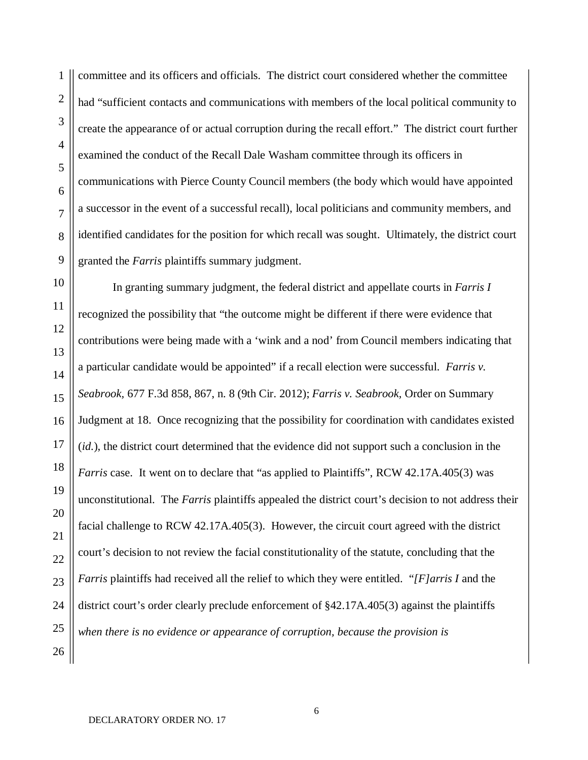committee and its officers and officials. The district court considered whether the committee had "sufficient contacts and communications with members of the local political community to create the appearance of or actual corruption during the recall effort." The district court further examined the conduct of the Recall Dale Washam committee through its officers in communications with Pierce County Council members (the body which would have appointed a successor in the event of a successful recall), local politicians and community members, and identified candidates for the position for which recall was sought. Ultimately, the district court granted the *Farris* plaintiffs summary judgment.

10 11 12 13 14 15 16 17 18 19 20 21 22 23 24 25 26 In granting summary judgment, the federal district and appellate courts in *Farris I* recognized the possibility that "the outcome might be different if there were evidence that contributions were being made with a 'wink and a nod' from Council members indicating that a particular candidate would be appointed" if a recall election were successful. *Farris v. Seabrook,* 677 F.3d 858, 867, n. 8 (9th Cir. 2012); *Farris v. Seabrook,* Order on Summary Judgment at 18. Once recognizing that the possibility for coordination with candidates existed (*id.*), the district court determined that the evidence did not support such a conclusion in the *Farris* case. It went on to declare that "as applied to Plaintiffs", RCW 42.17A.405(3) was unconstitutional. The *Farris* plaintiffs appealed the district court's decision to not address their facial challenge to RCW 42.17A.405(3). However, the circuit court agreed with the district court's decision to not review the facial constitutionality of the statute, concluding that the *Farris* plaintiffs had received all the relief to which they were entitled. "*[F]arris I* and the district court's order clearly preclude enforcement of §42.17A.405(3) against the plaintiffs *when there is no evidence or appearance of corruption, because the provision is* 

1

2

3

4

5

6

7

8

9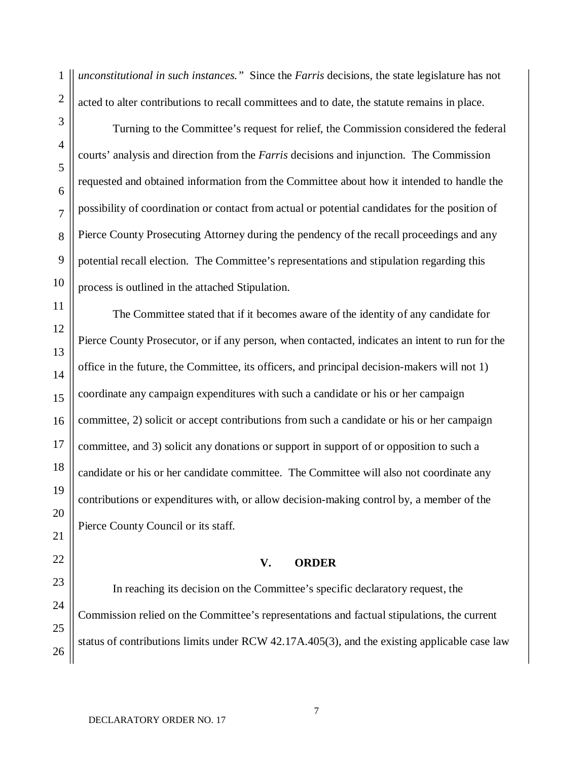*unconstitutional in such instances."* Since the *Farris* decisions, the state legislature has not acted to alter contributions to recall committees and to date, the statute remains in place.

Turning to the Committee's request for relief, the Commission considered the federal courts' analysis and direction from the *Farris* decisions and injunction. The Commission requested and obtained information from the Committee about how it intended to handle the possibility of coordination or contact from actual or potential candidates for the position of Pierce County Prosecuting Attorney during the pendency of the recall proceedings and any potential recall election. The Committee's representations and stipulation regarding this process is outlined in the attached Stipulation.

The Committee stated that if it becomes aware of the identity of any candidate for Pierce County Prosecutor, or if any person, when contacted, indicates an intent to run for the office in the future, the Committee, its officers, and principal decision-makers will not 1) coordinate any campaign expenditures with such a candidate or his or her campaign committee, 2) solicit or accept contributions from such a candidate or his or her campaign committee, and 3) solicit any donations or support in support of or opposition to such a candidate or his or her candidate committee. The Committee will also not coordinate any contributions or expenditures with, or allow decision-making control by, a member of the Pierce County Council or its staff.

#### **V. ORDER**

In reaching its decision on the Committee's specific declaratory request, the Commission relied on the Committee's representations and factual stipulations, the current status of contributions limits under RCW 42.17A.405(3), and the existing applicable case law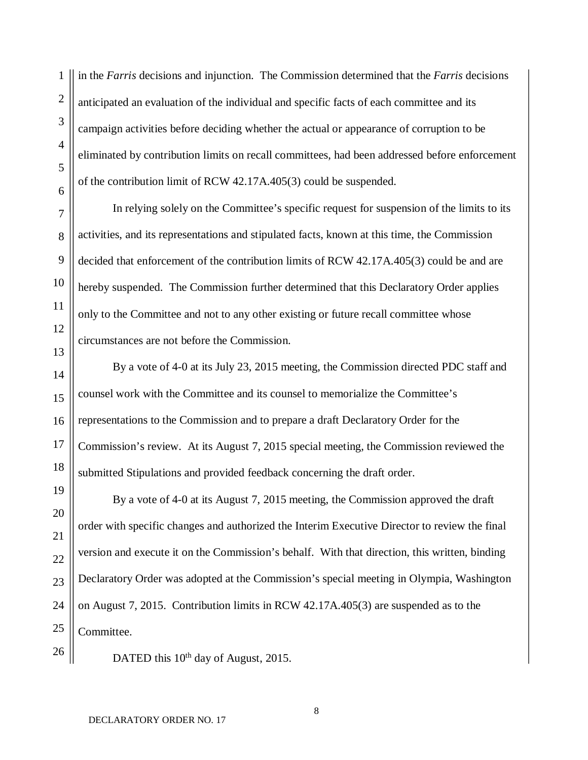in the *Farris* decisions and injunction. The Commission determined that the *Farris* decisions anticipated an evaluation of the individual and specific facts of each committee and its campaign activities before deciding whether the actual or appearance of corruption to be eliminated by contribution limits on recall committees, had been addressed before enforcement of the contribution limit of RCW 42.17A.405(3) could be suspended.

In relying solely on the Committee's specific request for suspension of the limits to its activities, and its representations and stipulated facts, known at this time, the Commission decided that enforcement of the contribution limits of RCW 42.17A.405(3) could be and are hereby suspended. The Commission further determined that this Declaratory Order applies only to the Committee and not to any other existing or future recall committee whose circumstances are not before the Commission.

By a vote of 4-0 at its July 23, 2015 meeting, the Commission directed PDC staff and counsel work with the Committee and its counsel to memorialize the Committee's representations to the Commission and to prepare a draft Declaratory Order for the Commission's review. At its August 7, 2015 special meeting, the Commission reviewed the submitted Stipulations and provided feedback concerning the draft order.

By a vote of 4-0 at its August 7, 2015 meeting, the Commission approved the draft order with specific changes and authorized the Interim Executive Director to review the final version and execute it on the Commission's behalf. With that direction, this written, binding Declaratory Order was adopted at the Commission's special meeting in Olympia, Washington on August 7, 2015. Contribution limits in RCW 42.17A.405(3) are suspended as to the Committee.

DATED this 10<sup>th</sup> day of August, 2015.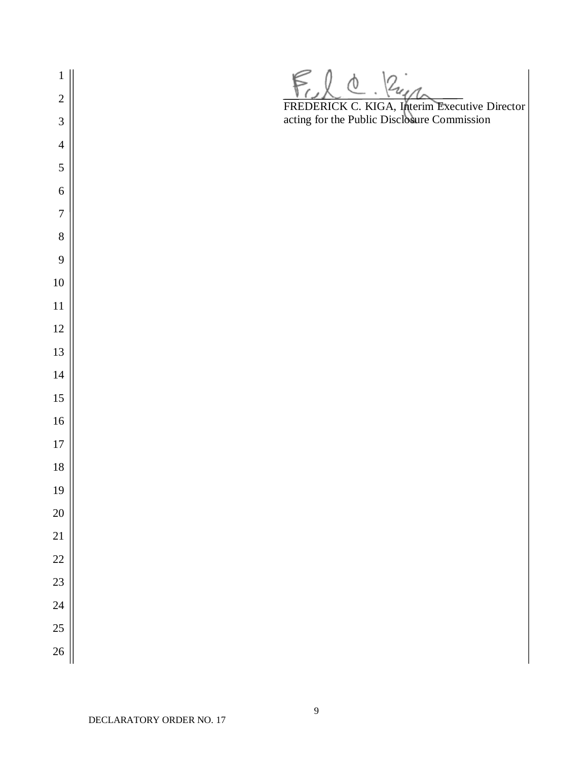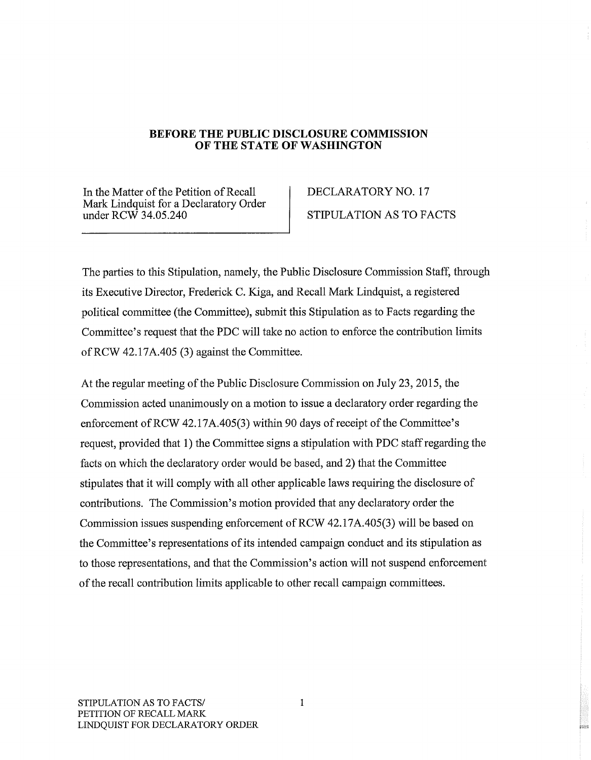# BEFORE THE PUBLIC DISCLOSURE COMMISSION OF THE STATE OF WASHINGTON

In the Matter of the Petition of Recall Mark Lindquist for a Declaratory Order under  $RCW$  34.05.240

# DECLARATORY NO. 17 STIPULATION AS TO FACTS

The parties to this Stipulation, namely, the Public Disclosure Commission Staff, through its Executive Director, Frederick C. Kiga, and Recall Mark Lindquist, a registered political committee (the Committee), submit this Stipulation as to Facts regarding the Committee's request that the PDC will take no action to enforce the contribution limits of RCW 42.17A.405 (3) against the Committee.

At the regular meeting of the Public Disclosure Commission on July 23, 2015, the Commission acted unanimously on a motion to issue a declaratory order regarding the enforcement of RCW 42.17A.405(3) within 90 days of receipt of the Committee's request, provided that 1) the Committee signs a stipulation with PDC staff regarding the facts on which the declaratory order would be based, and 2) that the Committee stipulates that it will comply with all other applicable laws requiring the disclosure of contributions. The Commission's motion provided that any declaratory order the Commission issues suspending enforcement of RCW 42.17A.405(3) will be based on the Committee's representations of its intended campaign conduct and its stipulation as to those representations, and that the Commission's action will not suspend enforcement of the recall contribution limits applicable to other recall campaign committees.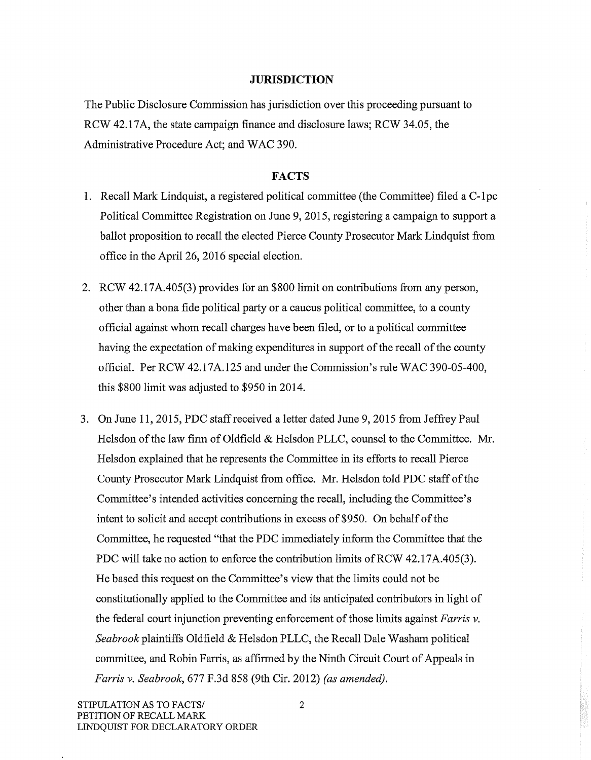# **JURISDICTION**

The Public Disclosure Commission has jurisdiction over this proceeding pursuant to RCW 42.17A, the state campaign finance and disclosure laws; RCW 34.05, the Administrative Procedure Act; and WAC 390.

#### **FACTS**

- 1. Recall Mark Lindquist, a registered political committee (the Committee) filed a C-1pc Political Committee Registration on June 9, 2015, registering a campaign to support a ballot proposition to recall the elected Pierce County Prosecutor Mark Lindquist from office in the April 26, 2016 special election.
- 2. RCW 42.17A.405(3) provides for an \$800 limit on contributions from any person, other than a bona fide political party or a caucus political committee, to a county official against whom recall charges have been filed, or to a political committee having the expectation of making expenditures in support of the recall of the county official. Per RCW 42.17A.125 and under the Commission's rule WAC 390-05-400, this \$800 limit was adjusted to \$950 in 2014.
- 3. On June 11, 2015, PDC staff received a letter dated June 9, 2015 from Jeffrey Paul Helsdon of the law firm of Oldfield & Helsdon PLLC, counsel to the Committee. Mr. Helsdon explained that he represents the Committee in its efforts to recall Pierce County Prosecutor Mark Lindquist from office. Mr. Helsdon told PDC staff of the Committee's intended activities concerning the recall, including the Committee's intent to solicit and accept contributions in excess of \$950. On behalf of the Committee, he requested "that the PDC immediately inform the Committee that the PDC will take no action to enforce the contribution limits of RCW 42.17A.405(3). He based this request on the Committee's view that the limits could not be constitutionally applied to the Committee and its anticipated contributors in light of the federal court injunction preventing enforcement of those limits against *Farris*  $v$ . Seabrook plaintiffs Oldfield & Helsdon PLLC, the Recall Dale Washam political committee, and Robin Farris, as affirmed by the Ninth Circuit Court of Appeals in Farris v. Seabrook, 677 F.3d 858 (9th Cir. 2012) (as amended).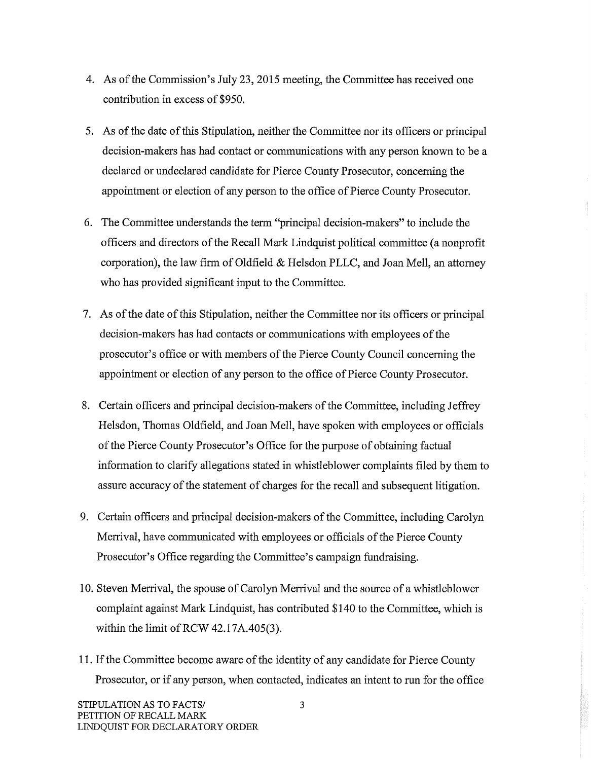- 4. As of the Commission's July 23, 2015 meeting, the Committee has received one contribution in excess of \$950.
- 5. As of the date of this Stipulation, neither the Committee nor its officers or principal decision-makers has had contact or communications with any person known to be a declared or undeclared candidate for Pierce County Prosecutor, concerning the appointment or election of any person to the office of Pierce County Prosecutor.
- 6. The Committee understands the term "principal decision-makers" to include the officers and directors of the Recall Mark Lindquist political committee (a nonprofit corporation), the law firm of Oldfield & Helsdon PLLC, and Joan Mell, an attorney who has provided significant input to the Committee.
- 7. As of the date of this Stipulation, neither the Committee nor its officers or principal decision-makers has had contacts or communications with employees of the prosecutor's office or with members of the Pierce County Council concerning the appointment or election of any person to the office of Pierce County Prosecutor.
- 8. Certain officers and principal decision-makers of the Committee, including Jeffrey Helsdon, Thomas Oldfield, and Joan Mell, have spoken with employees or officials of the Pierce County Prosecutor's Office for the purpose of obtaining factual information to clarify allegations stated in whistleblower complaints filed by them to assure accuracy of the statement of charges for the recall and subsequent litigation.
- 9. Certain officers and principal decision-makers of the Committee, including Carolyn Merrival, have communicated with employees or officials of the Pierce County Prosecutor's Office regarding the Committee's campaign fundraising.
- 10. Steven Merrival, the spouse of Carolyn Merrival and the source of a whistleblower complaint against Mark Lindquist, has contributed \$140 to the Committee, which is within the limit of RCW 42.17A.405(3).
- 11. If the Committee become aware of the identity of any candidate for Pierce County Prosecutor, or if any person, when contacted, indicates an intent to run for the office